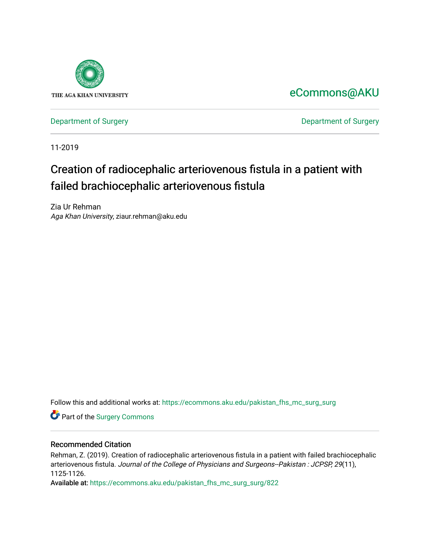

[eCommons@AKU](https://ecommons.aku.edu/) 

[Department of Surgery](https://ecommons.aku.edu/pakistan_fhs_mc_surg) **Department of Surgery** 

11-2019

## Creation of radiocephalic arteriovenous fistula in a patient with failed brachiocephalic arteriovenous fistula

Zia Ur Rehman Aga Khan University, ziaur.rehman@aku.edu

Follow this and additional works at: [https://ecommons.aku.edu/pakistan\\_fhs\\_mc\\_surg\\_surg](https://ecommons.aku.edu/pakistan_fhs_mc_surg_surg?utm_source=ecommons.aku.edu%2Fpakistan_fhs_mc_surg_surg%2F822&utm_medium=PDF&utm_campaign=PDFCoverPages) 

Part of the [Surgery Commons](http://network.bepress.com/hgg/discipline/706?utm_source=ecommons.aku.edu%2Fpakistan_fhs_mc_surg_surg%2F822&utm_medium=PDF&utm_campaign=PDFCoverPages) 

## Recommended Citation

Rehman, Z. (2019). Creation of radiocephalic arteriovenous fistula in a patient with failed brachiocephalic arteriovenous fistula. Journal of the College of Physicians and Surgeons--Pakistan : JCPSP, 29(11), 1125-1126.

Available at: [https://ecommons.aku.edu/pakistan\\_fhs\\_mc\\_surg\\_surg/822](https://ecommons.aku.edu/pakistan_fhs_mc_surg_surg/822)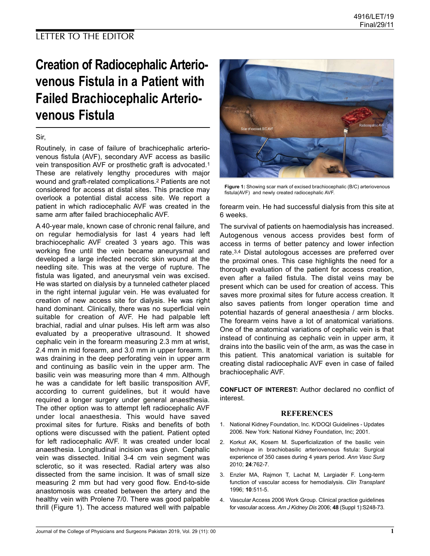# Creation of Radiocephalic Arteriovenous Fistula in a Patient with Failed Brachiocephalic Arteriovenous Fistula

### Sir,

Routinely, in case of failure of brachicephalic arteriovenous fistula (AVF), secondary AVF access as basilic vein transposition AVF or prosthetic graft is advocated.<sup>1</sup> These are relatively lengthy procedures with major wound and graft-related complications.<sup>2</sup> Patients are not considered for access at distal sites. This practice may overlook a potential distal access site. We report a patient in which radiocephalic AVF was created in the same arm after failed brachiocephalic AVF.

A 40-year male, known case of chronic renal failure, and on regular hemodialysis for last 4 years had left brachiocephalic AVF created 3 years ago. This was working fine until the vein became aneurysmal and developed a large infected necrotic skin wound at the needling site. This was at the verge of rupture. The fistula was ligated, and aneurysmal vein was excised. He was started on dialysis by a tunneled catheter placed in the right internal jugular vein. He was evaluated for creation of new access site for dialysis. He was right hand dominant. Clinically, there was no superficial vein suitable for creation of AVF. He had palpable left brachial, radial and ulnar pulses. His left arm was also evaluated by a preoperative ultrasound. It showed cephalic vein in the forearm measuring 2.3 mm at wrist, 2.4 mm in mid forearm, and 3.0 mm in upper forearm. It was draining in the deep perforating vein in upper arm and continuing as basilic vein in the upper arm. The basilic vein was measuring more than 4 mm. Although he was a candidate for left basilic transposition AVF, according to current guidelines, but it would have required a longer surgery under general anaesthesia. The other option was to attempt left radiocephalic AVF under local anaesthesia. This would have saved proximal sites for furture. Risks and benefits of both options were discussed with the patient. Patient opted for left radiocephalic AVF. It was created under local anaesthesia. Longitudinal incision was given. Cephalic vein was dissected. Initial 3-4 cm vein segment was sclerotic, so it was resected. Radial artery was also dissected from the same incision. It was of small size measuring 2 mm but had very good flow. End-to-side anastomosis was created between the artery and the healthy vein with Prolene 7/0. There was good palpable thrill (Figure 1). The access matured well with palpable



Figure 1: Showing scar mark of excised brachiocephalic (B/C) arteriovenous fistula(AVF) and newly created radiocephalic AVF.

forearm vein. He had successful dialysis from this site at 6 weeks.

The survival of patients on haemodialysis has increased. Autogenous venous access provides best form of access in terms of better patency and lower infection rate.3,4 Distal autologous accesses are preferred over the proximal ones. This case highlights the need for a thorough evaluation of the patient for access creation, even after a failed fistula. The distal veins may be present which can be used for creation of access. This saves more proximal sites for future access creation. It also saves patients from longer operation time and potential hazards of general anaesthesia / arm blocks. The forearm veins have a lot of anatomical variations. One of the anatomical variations of cephalic vein is that instead of continuing as cephalic vein in upper arm, it drains into the basilic vein of the arm, as was the case in this patient. This anatomical variation is suitable for creating distal radiocephalic AVF even in case of failed brachiocephalic AVF.

CONFLICT OF INTEREST: Author declared no conflict of interest.

#### REFERENCES

- 1. National Kidney Foundation, Inc. K/DOQI Guidelines Updates 2006. New York: National Kidney Foundation, Inc; 2001.
- 2. Korkut AK, Kosem M. Superficialization of the basilic vein technique in brachiobasilic arteriovenous fistula: Surgical experience of 350 cases during 4 years period. Ann Vasc Surg 2010; 24:762-7.
- 3. Enzler MA, Rajmon T, Lachat M, Largiadèr F. Long-term function of vascular access for hemodialysis. Clin Transplant 1996; 10:511-5.
- 4. Vascular Access 2006 Work Group. Clinical practice guidelines for vascular access. Am J Kidney Dis 2006; 48 (Suppl 1):S248-73.